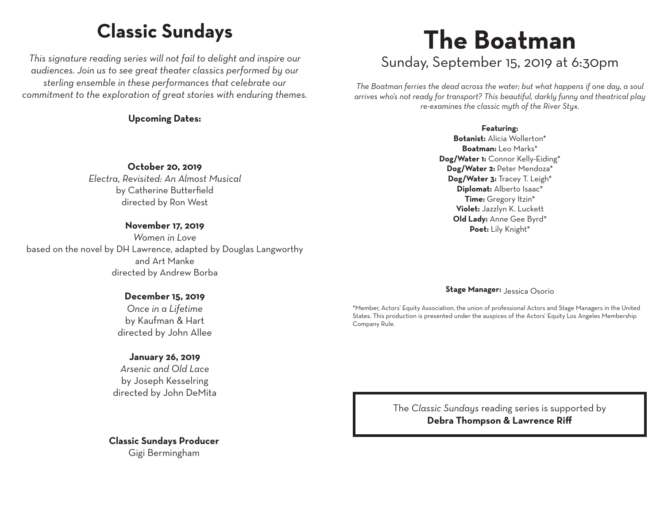### **Classic Sundays**

*This signature reading series will not fail to delight and inspire our audiences. Join us to see great theater classics performed by our sterling ensemble in these performances that celebrate our commitment to the exploration of great stories with enduring themes.*

**Upcoming Dates:**

# **The Boatman**

Sunday, September 15, 2019 at 6:30pm

*The Boatman ferries the dead across the water; but what happens if one day, a soul arrives who's not ready for transport? This beautiful, darkly funny and theatrical play re-examines the classic myth of the River Styx.*

#### **Featuring:**

**Botanist:** Alicia Wollerton\* **Boatman:** Leo Marks\* **Dog/Water 1:** Connor Kelly-Eiding\* **Dog/Water 2:** Peter Mendoza\* **Dog/Water 3:** Tracey T. Leigh\* **Diplomat:** Alberto Isaac\* **Time:** Gregory Itzin\* **Violet:** Jazzlyn K. Luckett **Old Lady:** Anne Gee Byrd\* **Poet:** Lily Knight\*

by Catherine Butterfield directed by Ron West

**October 20, 2019** *Electra, Revisited: An Almost Musical*

#### **November 17, 2019**

*Women in Love* based on the novel by DH Lawrence, adapted by Douglas Langworthy and Art Manke directed by Andrew Borba

#### **December 15, 2019**

*Once in a Lifetime* by Kaufman & Hart directed by John Allee

#### **January 26, 2019**

*Arsenic and Old Lace* by Joseph Kesselring directed by John DeMita

**Classic Sundays Producer** Gigi Bermingham

#### **Stage Manager:** Jessica Osorio

\*Member, Actors' Equity Association, the union of professional Actors and Stage Managers in the United States. This production is presented under the auspices of the Actors' Equity Los Angeles Membership Company Rule.

> The *Classic Sundays* reading series is supported by **Debra Thompson & Lawrence Riff**